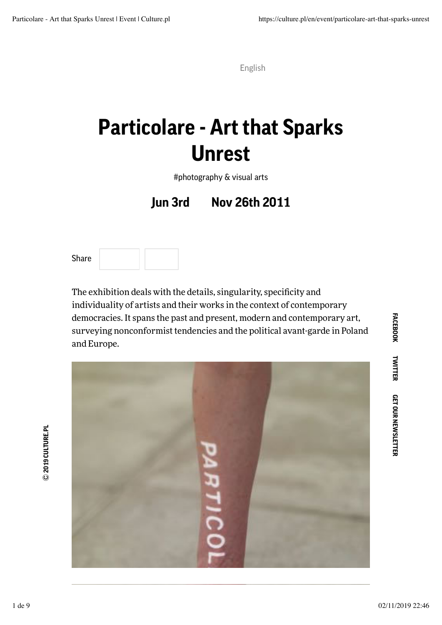## **Particolare - Art that Sparks Unrest**

#photography & visual arts

**Jun 3rd Nov 26th 2011**

Share

The exhibition deals with the details, singularity, specificity and individuality of artists and their works in the context of contemporary democracies. It spans the past and present, modern and contemporary art, surveying nonconformist tendencies and the political avant-garde in Poland and Europe.



**FACEBOOK FACEBOOK**

1 de 9 02/11/2019 22:46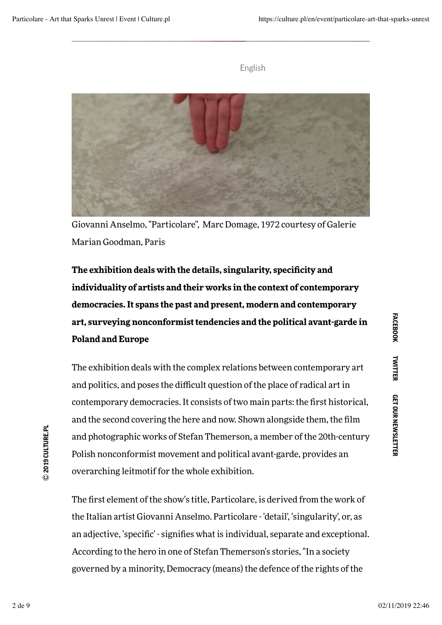

Giovanni Anselmo, "Particolare", Marc Domage, 1972 courtesy of Galerie Marian Goodman, Paris

**The exhibition deals with the details, singularity, specificity and individuality of artists and their works in the context of contemporary democracies. It spans the past and present, modern and contemporary art, surveying nonconformist tendencies and the political avant-garde in Poland and Europe**

The exhibition deals with the complex relations between contemporary art and politics, and poses the difficult question of the place of radical art in contemporary democracies. It consists of two main parts: the first historical, and the second covering the here and now. Shown alongside them, the film and photographic works of Stefan Themerson, a member of the 20th-century Polish nonconformist movement and political avant-garde, provides an overarching leitmotif for the whole exhibition.

The first element of the show's title, Particolare, is derived from the work of the Italian artist Giovanni Anselmo. Particolare - 'detail', 'singularity', or, as an adjective, 'specific' - signifies what is individual, separate and exceptional. According to the hero in one of Stefan Themerson's stories, "In a society governed by a minority, Democracy (means) the defence of the rights of the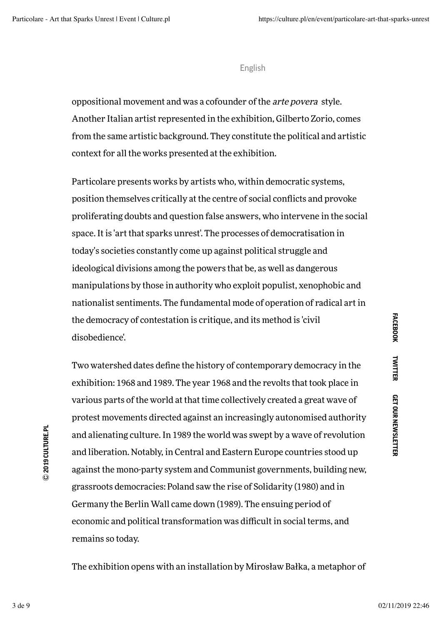oppositional movement and was a cofounder of the arte povera style. Another Italian artist represented in the exhibition, Gilberto Zorio, comes from the same artistic background. They constitute the political and artistic context for all the works presented at the exhibition.

Particolare presents works by artists who, within democratic systems, position themselves critically at the centre of social conflicts and provoke proliferating doubts and question false answers, who intervene in the social space. It is 'art that sparks unrest'. The processes of democratisation in today's societies constantly come up against political struggle and ideological divisions among the powers that be, as well as dangerous manipulations by those in authority who exploit populist, xenophobic and nationalist sentiments. The fundamental mode of operation of radical art in the democracy of contestation is critique, and its method is 'civil disobedience'.

Two watershed dates define the history of contemporary democracy in the exhibition: 1968 and 1989. The year 1968 and the revolts that took place in various parts of the world at that time collectively created a great wave of protest movements directed against an increasingly autonomised authority and alienating culture. In 1989 the world was swept by a wave of revolution and liberation. Notably, in Central and Eastern Europe countries stood up against the mono-party system and Communist governments, building new, grassroots democracies: Poland saw the rise of Solidarity (1980) and in Germany the Berlin Wall came down (1989). The ensuing period of economic and political transformation was difficult in social terms, and remains so today.

The exhibition opens with an installation by Mirosław Bałka, a metaphor of

Ⓒ **2019 CULTURE.PL**

C 2019 CULTURE.PL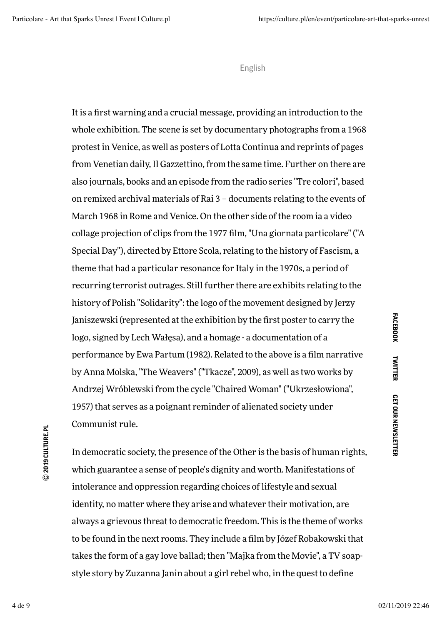It is a first warning and a crucial message, providing an introduction to the whole exhibition. The scene is set by documentary photographs from a 1968 protest in Venice, as well as posters of Lotta Continua and reprints of pages from Venetian daily, Il Gazzettino, from the same time. Further on there are also journals, books and an episode from the radio series "Tre colori", based on remixed archival materials of Rai 3 – documents relating to the events of March 1968 in Rome and Venice. On the other side of the room ia a video collage projection of clips from the 1977 film, "Una giornata particolare" ("A Special Day"), directed by Ettore Scola, relating to the history of Fascism, a theme that had a particular resonance for Italy in the 1970s, a period of recurring terrorist outrages. Still further there are exhibits relating to the history of Polish "Solidarity": the logo of the movement designed by Jerzy Janiszewski (represented at the exhibition by the first poster to carry the logo, signed by Lech Wałęsa), and a homage - a documentation of a performance by Ewa Partum (1982). Related to the above is a film narrative by Anna Molska, "The Weavers" ("Tkacze", 2009), as well as two works by Andrzej Wróblewski from the cycle "Chaired Woman" ("Ukrzesłowiona", 1957) that serves as a poignant reminder of alienated society under Communist rule.

In democratic society, the presence of the Other is the basis of human rights, which guarantee a sense of people's dignity and worth. Manifestations of intolerance and oppression regarding choices of lifestyle and sexual identity, no matter where they arise and whatever their motivation, are always a grievous threat to democratic freedom. This is the theme of works to be found in the next rooms. They include a film by Józef Robakowski that takes the form of a gay love ballad; then "Majka from the Movie", a TV soapstyle story by Zuzanna Janin about a girl rebel who, in the quest to define

4 de 9 02/11/2019 22:46

Ⓒ **2019 CULTURE.PL**

C 2019 CULTURE.PL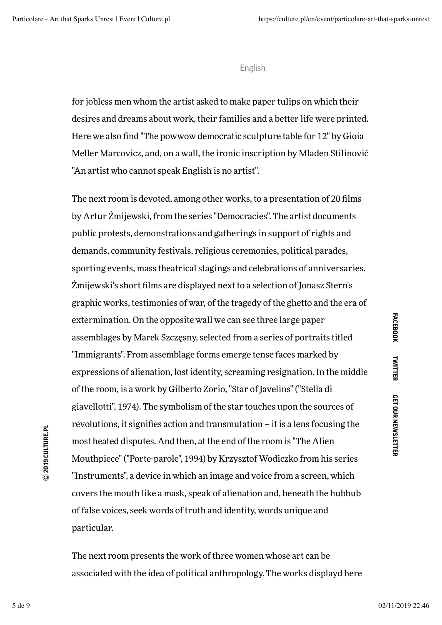for jobless men whom the artist asked to make paper tulips on which their desires and dreams about work, their families and a better life were printed. Here we also find "The powwow democratic sculpture table for 12" by Gioia Meller Marcovicz, and, on a wall, the ironic inscription by Mladen Stilinović "An artist who cannot speak English is no artist".

The next room is devoted, among other works, to a presentation of 20 films by Artur Żmijewski, from the series "Democracies". The artist documents public protests, demonstrations and gatherings in support of rights and demands, community festivals, religious ceremonies, political parades, sporting events, mass theatrical stagings and celebrations of anniversaries. Żmijewski's short films are displayed next to a selection of Jonasz Stern's graphic works, testimonies of war, of the tragedy of the ghetto and the era of extermination. On the opposite wall we can see three large paper assemblages by Marek Szczęsny, selected from a series of portraits titled "Immigrants". From assemblage forms emerge tense faces marked by expressions of alienation, lost identity, screaming resignation. In the middle of the room, is a work by Gilberto Zorio, "Star of Javelins" ("Stella di giavellotti", 1974). The symbolism of the star touches upon the sources of revolutions, it signifies action and transmutation – it is a lens focusing the most heated disputes. And then, at the end of the room is "The Alien Mouthpiece" ("Porte-parole", 1994) by Krzysztof Wodiczko from his series "Instruments", a device in which an image and voice from a screen, which covers the mouth like a mask, speak of alienation and, beneath the hubbub of false voices, seek words of truth and identity, words unique and particular.

The next room presents the work of three women whose art can be associated with the idea of political anthropology. The works displayd here

5 de 9 02/11/2019 22:46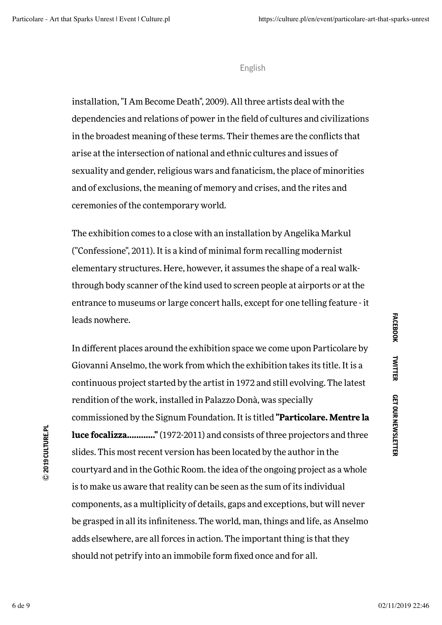installation, "I Am Become Death", 2009). All three artists deal with the dependencies and relations of power in the field of cultures and civilizations in the broadest meaning of these terms. Their themes are the conflicts that arise at the intersection of national and ethnic cultures and issues of sexuality and gender, religious wars and fanaticism, the place of minorities and of exclusions, the meaning of memory and crises, and the rites and ceremonies of the contemporary world.

The exhibition comes to a close with an installation by Angelika Markul ("Confessione", 2011). It is a kind of minimal form recalling modernist elementary structures. Here, however, it assumes the shape of a real walkthrough body scanner of the kind used to screen people at airports or at the entrance to museums or large concert halls, except for one telling feature - it leads nowhere.

In different places around the exhibition space we come upon Particolare by Giovanni Anselmo, the work from which the exhibition takes its title. It is a continuous project started by the artist in 1972 and still evolving. The latest rendition of the work, installed in Palazzo Donà, was specially commissioned by the Signum Foundation. It is titled **"Particolare. Mentre la luce focalizza............"** (1972-2011) and consists of three projectors and three slides. This most recent version has been located by the author in the courtyard and in the Gothic Room. the idea of the ongoing project as a whole is to make us aware that reality can be seen as the sum of its individual components, as a multiplicity of details, gaps and exceptions, but will never be grasped in all its infiniteness. The world, man, things and life, as Anselmo adds elsewhere, are all forces in action. The important thing is that they should not petrify into an immobile form fixed once and for all.

C 2019 CULTURE.PL Ⓒ **2019 CULTURE.PL**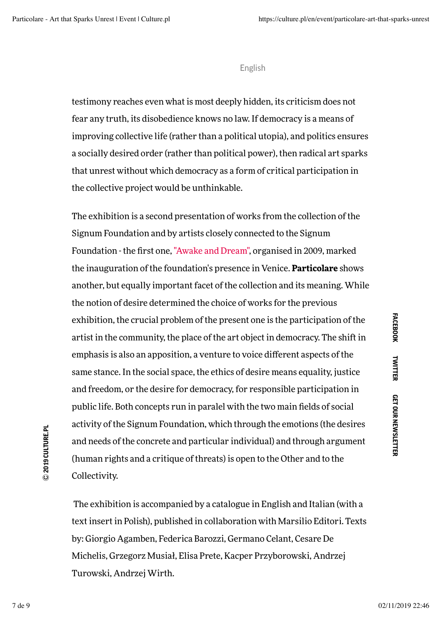testimony reaches even what is most deeply hidden, its criticism does not fear any truth, its disobedience knows no law. If democracy is a means of improving collective life (rather than a political utopia), and politics ensures a socially desired order (rather than political power), then radical art sparks that unrest without which democracy as a form of critical participation in the collective project would be unthinkable.

The exhibition is a second presentation of works from the collection of the Signum Foundation and by artists closely connected to the Signum Foundation - the first one, "Awake and Dream", organised in 2009, marked the inauguration of the foundation's presence in Venice. **Particolare** shows another, but equally important facet of the collection and its meaning. While the notion of desire determined the choice of works for the previous exhibition, the crucial problem of the present one is the participation of the artist in the community, the place of the art object in democracy. The shift in emphasis is also an apposition, a venture to voice different aspects of the same stance. In the social space, the ethics of desire means equality, justice and freedom, or the desire for democracy, for responsible participation in public life. Both concepts run in paralel with the two main fields of social activity of the Signum Foundation, which through the emotions (the desires and needs of the concrete and particular individual) and through argument (human rights and a critique of threats) is open to the Other and to the Collectivity.

The exhibition is accompanied by a catalogue in English and Italian (with a text insert in Polish), published in collaboration with Marsilio Editori. Texts by: Giorgio Agamben, Federica Barozzi, Germano Celant, Cesare De Michelis, Grzegorz Musiał, Elisa Prete, Kacper Przyborowski, Andrzej Turowski, Andrzej Wirth.